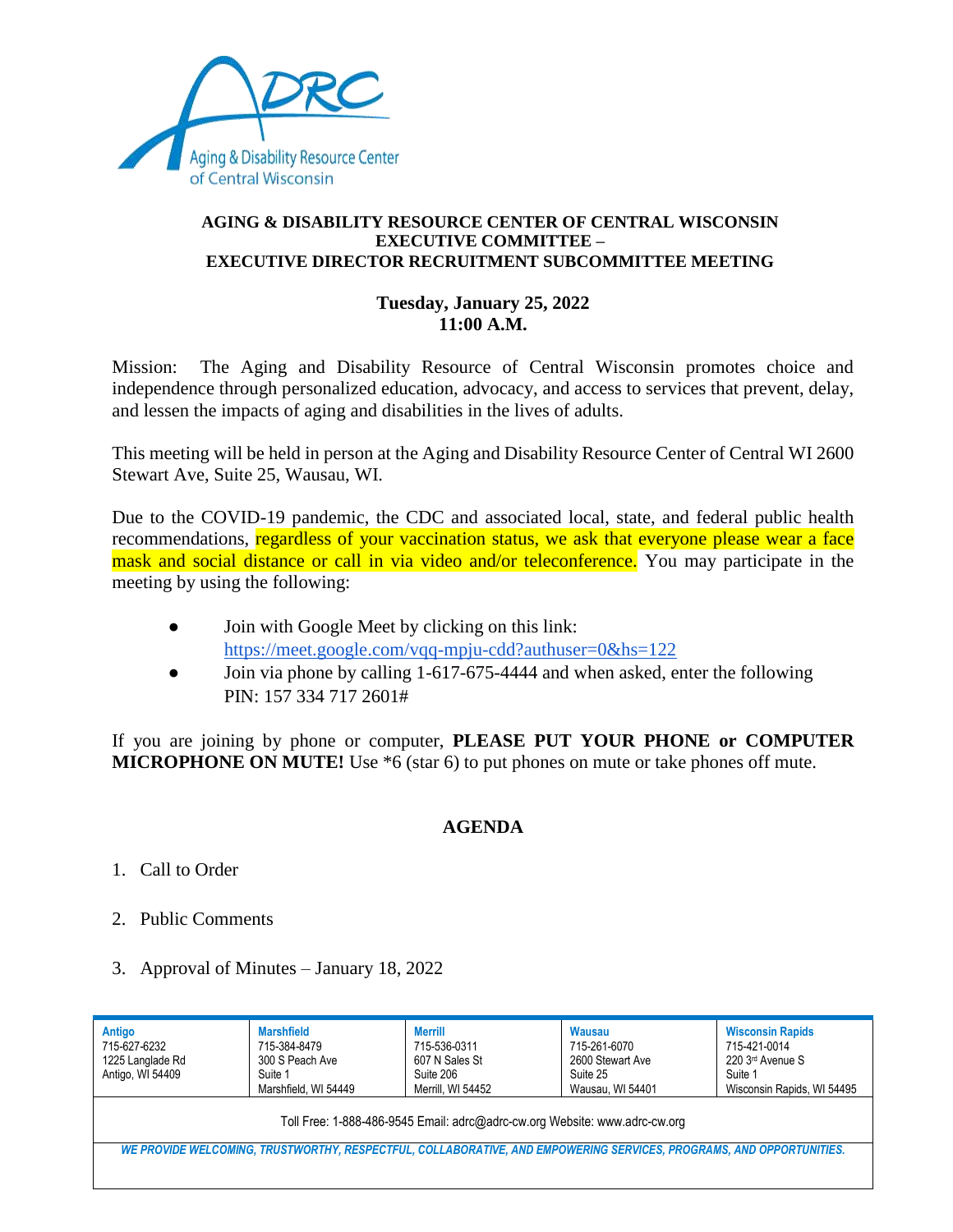

## **AGING & DISABILITY RESOURCE CENTER OF CENTRAL WISCONSIN EXECUTIVE COMMITTEE – EXECUTIVE DIRECTOR RECRUITMENT SUBCOMMITTEE MEETING**

## **Tuesday, January 25, 2022 11:00 A.M.**

Mission: The Aging and Disability Resource of Central Wisconsin promotes choice and independence through personalized education, advocacy, and access to services that prevent, delay, and lessen the impacts of aging and disabilities in the lives of adults.

This meeting will be held in person at the Aging and Disability Resource Center of Central WI 2600 Stewart Ave, Suite 25, Wausau, WI.

Due to the COVID-19 pandemic, the CDC and associated local, state, and federal public health recommendations, regardless of your vaccination status, we ask that everyone please wear a face mask and social distance or call in via video and/or teleconference. You may participate in the meeting by using the following:

- Join with Google Meet by clicking on this link: <https://meet.google.com/vqq-mpju-cdd?authuser=0&hs=122>
- Join via phone by calling 1-617-675-4444 and when asked, enter the following PIN: 157 334 717 2601#

If you are joining by phone or computer, **PLEASE PUT YOUR PHONE or COMPUTER MICROPHONE ON MUTE!** Use \*6 (star 6) to put phones on mute or take phones off mute.

## **AGENDA**

- 1. Call to Order
- 2. Public Comments
- 3. Approval of Minutes January 18, 2022

| Antigo<br>715-627-6232<br>1225 Langlade Rd<br>Antigo, WI 54409                                                      | <b>Marshfield</b><br>715-384-8479<br>300 S Peach Ave<br>Suite 1<br>Marshfield, WI 54449 | <b>Merrill</b><br>715-536-0311<br>607 N Sales St<br>Suite 206<br>Merrill, WI 54452 | Wausau<br>715-261-6070<br>2600 Stewart Ave<br>Suite 25<br>Wausau, WI 54401 | <b>Wisconsin Rapids</b><br>715-421-0014<br>220 3rd Avenue S<br>Suite 1<br>Wisconsin Rapids, WI 54495 |
|---------------------------------------------------------------------------------------------------------------------|-----------------------------------------------------------------------------------------|------------------------------------------------------------------------------------|----------------------------------------------------------------------------|------------------------------------------------------------------------------------------------------|
| Toll Free: 1-888-486-9545 Email: adrc@adrc-cw.org Website: www.adrc-cw.org                                          |                                                                                         |                                                                                    |                                                                            |                                                                                                      |
| WE PROVIDE WELCOMING, TRUSTWORTHY, RESPECTFUL, COLLABORATIVE, AND EMPOWERING SERVICES, PROGRAMS, AND OPPORTUNITIES. |                                                                                         |                                                                                    |                                                                            |                                                                                                      |